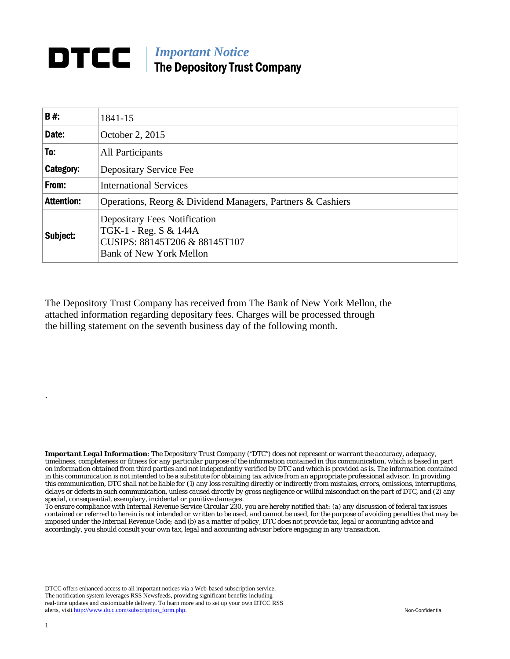## *Important Notice*  The Depository Trust Company

| B#:               | 1841-15                                                                                                                         |
|-------------------|---------------------------------------------------------------------------------------------------------------------------------|
| Date:             | October 2, 2015                                                                                                                 |
| To:               | All Participants                                                                                                                |
| Category:         | Depositary Service Fee                                                                                                          |
| From:             | <b>International Services</b>                                                                                                   |
| <b>Attention:</b> | Operations, Reorg & Dividend Managers, Partners & Cashiers                                                                      |
| Subject:          | <b>Depositary Fees Notification</b><br>TGK-1 - Reg. S & 144A<br>CUSIPS: 88145T206 & 88145T107<br><b>Bank of New York Mellon</b> |

The Depository Trust Company has received from The Bank of New York Mellon, the attached information regarding depositary fees. Charges will be processed through the billing statement on the seventh business day of the following month.

*Important Legal Information: The Depository Trust Company ("DTC") does not represent or warrant the accuracy, adequacy, timeliness, completeness or fitness for any particular purpose of the information contained in this communication, which is based in part on information obtained from third parties and not independently verified by DTC and which is provided as is. The information contained in this communication is not intended to be a substitute for obtaining tax advice from an appropriate professional advisor. In providing this communication, DTC shall not be liable for (1) any loss resulting directly or indirectly from mistakes, errors, omissions, interruptions, delays or defects in such communication, unless caused directly by gross negligence or willful misconduct on the part of DTC, and (2) any special, consequential, exemplary, incidental or punitive damages.* 

*To ensure compliance with Internal Revenue Service Circular 230, you are hereby notified that: (a) any discussion of federal tax issues contained or referred to herein is not intended or written to be used, and cannot be used, for the purpose of avoiding penalties that may be imposed under the Internal Revenue Code; and (b) as a matter of policy, DTC does not provide tax, legal or accounting advice and accordingly, you should consult your own tax, legal and accounting advisor before engaging in any transaction.*

DTCC offers enhanced access to all important notices via a Web-based subscription service. The notification system leverages RSS Newsfeeds, providing significant benefits including real-time updates and customizable delivery. To learn more and to set up your own DTCC RSS alerts, visit http://www.dtcc.com/subscription\_form.php. Non-Confidential

.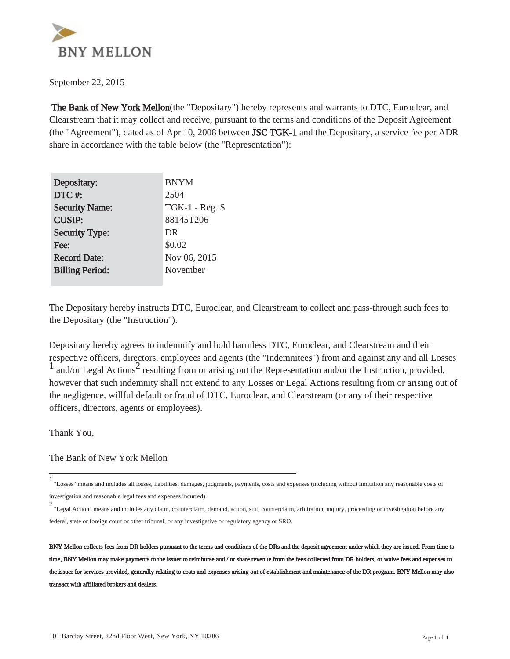

September 22, 2015

 The Bank of New York Mellon(the "Depositary") hereby represents and warrants to DTC, Euroclear, and Clearstream that it may collect and receive, pursuant to the terms and conditions of the Deposit Agreement (the "Agreement"), dated as of Apr 10, 2008 between **JSC TGK-1** and the Depositary, a service fee per ADR share in accordance with the table below (the "Representation"):

| Depositary:            | <b>BNYM</b>    |
|------------------------|----------------|
| DTC#:                  | 2504           |
| <b>Security Name:</b>  | TGK-1 - Reg. S |
| <b>CUSIP:</b>          | 88145T206      |
| <b>Security Type:</b>  | DR             |
| Fee:                   | \$0.02         |
| <b>Record Date:</b>    | Nov 06, 2015   |
| <b>Billing Period:</b> | November       |
|                        |                |

The Depositary hereby instructs DTC, Euroclear, and Clearstream to collect and pass-through such fees to the Depositary (the "Instruction").

Depositary hereby agrees to indemnify and hold harmless DTC, Euroclear, and Clearstream and their respective officers, directors, employees and agents (the "Indemnitees") from and against any and all Losses  $\frac{1}{1}$  and/or Legal Actions<sup>2</sup> resulting from or arising out the Representation and/or the Instruction, provided, however that such indemnity shall not extend to any Losses or Legal Actions resulting from or arising out of the negligence, willful default or fraud of DTC, Euroclear, and Clearstream (or any of their respective officers, directors, agents or employees).

Thank You,

The Bank of New York Mellon

<sup>1</sup> "Losses" means and includes all losses, liabilities, damages, judgments, payments, costs and expenses (including without limitation any reasonable costs of investigation and reasonable legal fees and expenses incurred).

<sup>2</sup> "Legal Action" means and includes any claim, counterclaim, demand, action, suit, counterclaim, arbitration, inquiry, proceeding or investigation before any federal, state or foreign court or other tribunal, or any investigative or regulatory agency or SRO.

BNY Mellon collects fees from DR holders pursuant to the terms and conditions of the DRs and the deposit agreement under which they are issued. From time to time, BNY Mellon may make payments to the issuer to reimburse and / or share revenue from the fees collected from DR holders, or waive fees and expenses to the issuer for services provided, generally relating to costs and expenses arising out of establishment and maintenance of the DR program. BNY Mellon may also transact with affiliated brokers and dealers.